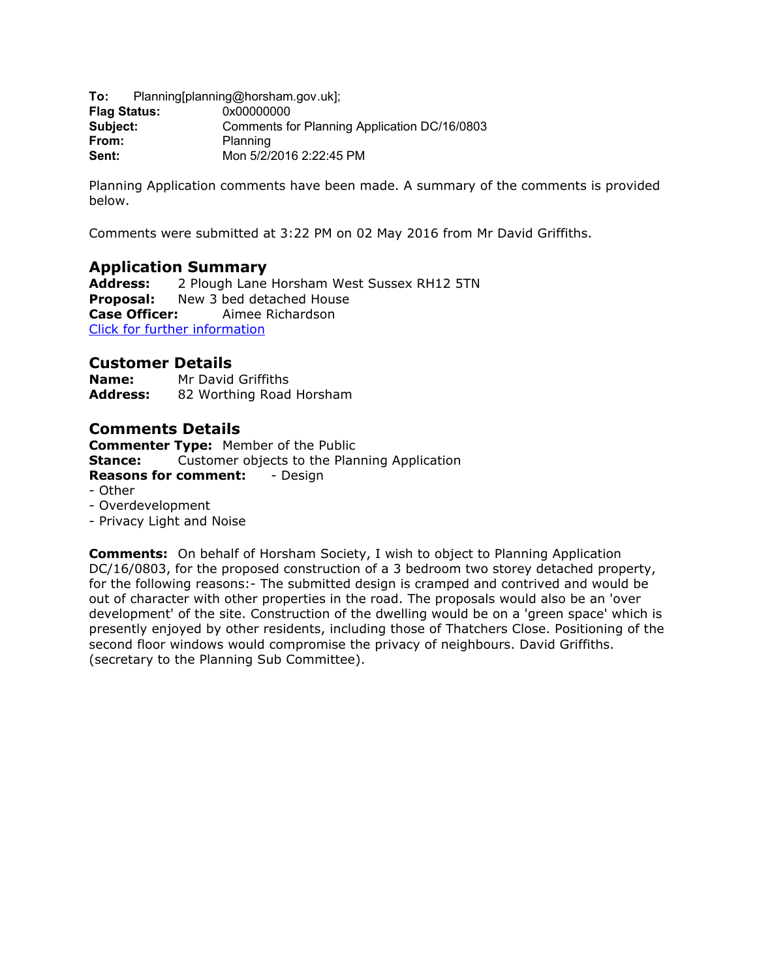**To:** Planning[planning@horsham.gov.uk]; **Flag Status:** 0x00000000 **Subject:** Comments for Planning Application DC/16/0803 **From:** Planning **Sent:** Mon 5/2/2016 2:22:45 PM

Planning Application comments have been made. A summary of the comments is provided below.

Comments were submitted at 3:22 PM on 02 May 2016 from Mr David Griffiths.

## **Application Summary**

**Address:** 2 Plough Lane Horsham West Sussex RH12 5TN **Proposal:** New 3 bed detached House **Case Officer:** Aimee Richardson [Click for further information](https://public-access.horsham.gov.uk/public-access//centralDistribution.do?caseType=Application&keyVal=O5CWYZIJK4I00)

# **Customer Details**

**Name:** Mr David Griffiths **Address:** 82 Worthing Road Horsham

## **Comments Details**

**Commenter Type:** Member of the Public **Stance:** Customer objects to the Planning Application **Reasons for comment:** - Design - Other - Overdevelopment - Privacy Light and Noise

**Comments:** On behalf of Horsham Society, I wish to object to Planning Application DC/16/0803, for the proposed construction of a 3 bedroom two storey detached property, for the following reasons:- The submitted design is cramped and contrived and would be out of character with other properties in the road. The proposals would also be an 'over development' of the site. Construction of the dwelling would be on a 'green space' which is presently enjoyed by other residents, including those of Thatchers Close. Positioning of the second floor windows would compromise the privacy of neighbours. David Griffiths. (secretary to the Planning Sub Committee).